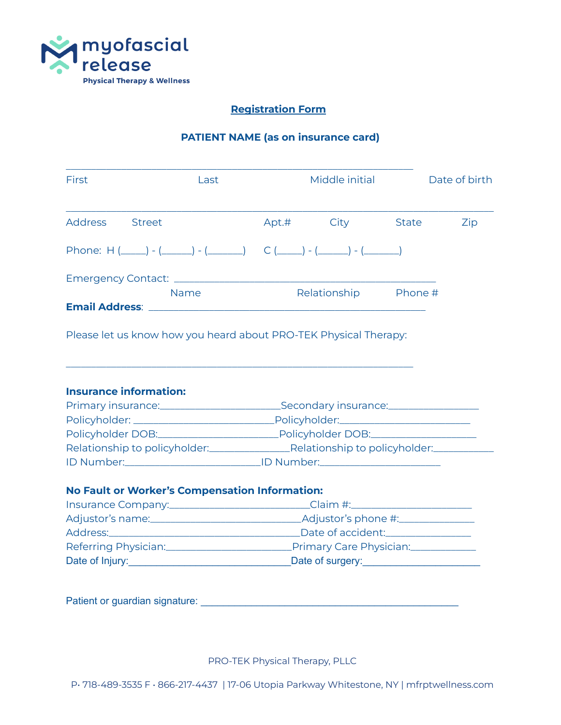

# **Registration Form**

# **PATIENT NAME (as on insurance card)**

| First                                                                                                                                                                               | Last                                                                             |                                                                      |  | Middle initial |              | Date of birth |
|-------------------------------------------------------------------------------------------------------------------------------------------------------------------------------------|----------------------------------------------------------------------------------|----------------------------------------------------------------------|--|----------------|--------------|---------------|
| <b>Address</b><br><b>Street</b>                                                                                                                                                     |                                                                                  |                                                                      |  | Apt.# City     | <b>State</b> | Zip           |
| Phone: H $(\_\_\_\_)$ - $(\_\_\_\_)$ - $(\_\_\_\_)$ - $(\_\_\_\_)$ C $(\_\_\_\)_$ - $(\_\_\_\)_$ - $(\_\_\_\)_$                                                                     |                                                                                  |                                                                      |  |                |              |               |
|                                                                                                                                                                                     |                                                                                  |                                                                      |  |                |              |               |
| <b>Name</b>                                                                                                                                                                         |                                                                                  | Relationship Phone #                                                 |  |                |              |               |
|                                                                                                                                                                                     |                                                                                  |                                                                      |  |                |              |               |
| Please let us know how you heard about PRO-TEK Physical Therapy:                                                                                                                    |                                                                                  |                                                                      |  |                |              |               |
| <b>Insurance information:</b>                                                                                                                                                       |                                                                                  |                                                                      |  |                |              |               |
|                                                                                                                                                                                     | Primary insurance: <u>contained a secondary insurance: contained</u>             |                                                                      |  |                |              |               |
|                                                                                                                                                                                     |                                                                                  |                                                                      |  |                |              |               |
|                                                                                                                                                                                     | Policyholder DOB: Policyholder DOB: Policyholder DOB:                            |                                                                      |  |                |              |               |
| Relationship to policyholder:<br>Relationship to policyholder:<br>Relationship to policyholder:<br>ID Number: ___________________________________ID Number: _______________________ |                                                                                  |                                                                      |  |                |              |               |
| <b>No Fault or Worker's Compensation Information:</b>                                                                                                                               |                                                                                  |                                                                      |  |                |              |               |
|                                                                                                                                                                                     |                                                                                  |                                                                      |  |                |              |               |
|                                                                                                                                                                                     | Insurance Company:____________________________Claim #:__________________________ |                                                                      |  |                |              |               |
|                                                                                                                                                                                     |                                                                                  | Address: Date of accident: Date of accident:                         |  |                |              |               |
|                                                                                                                                                                                     |                                                                                  |                                                                      |  |                |              |               |
|                                                                                                                                                                                     |                                                                                  | Date of Injury: <u>Date of Surgery:</u> Contact the Date of Surgery: |  |                |              |               |
| Patient or guardian signature:                                                                                                                                                      |                                                                                  |                                                                      |  |                |              |               |

PRO-TEK Physical Therapy, PLLC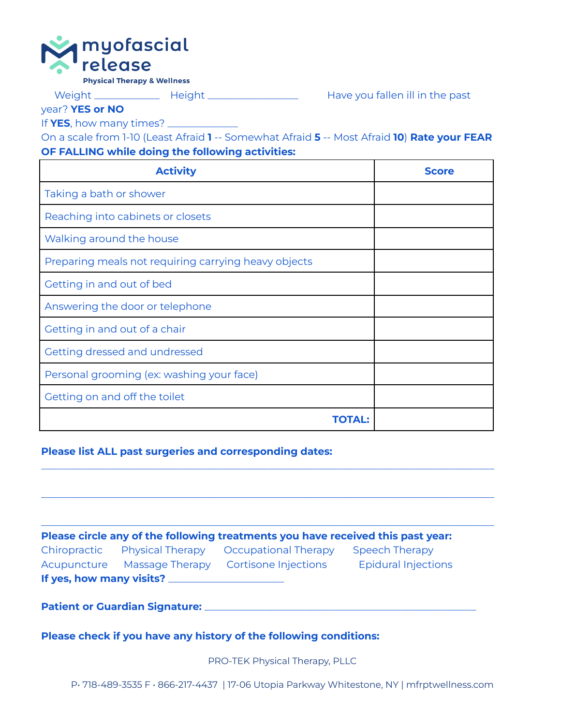

**Physical Therapy & Wellness** 

Weight \_\_\_\_\_\_\_\_\_\_\_\_\_\_\_ Height \_\_\_\_\_\_\_\_\_\_\_\_\_\_\_\_\_\_\_\_\_\_ Have you fallen ill in the past

year? **YES or NO**

If **YES**, how many times? \_\_\_\_\_\_\_\_\_\_\_\_\_\_

On a scale from 1-10 (Least Afraid **1** -- Somewhat Afraid **5** -- Most Afraid **10**) **Rate your FEAR OF FALLING while doing the following activities:**

| <b>Activity</b>                                      | Score |
|------------------------------------------------------|-------|
| Taking a bath or shower                              |       |
| Reaching into cabinets or closets                    |       |
| Walking around the house                             |       |
| Preparing meals not requiring carrying heavy objects |       |
| Getting in and out of bed                            |       |
| Answering the door or telephone                      |       |
| Getting in and out of a chair                        |       |
| Getting dressed and undressed                        |       |
| Personal grooming (ex: washing your face)            |       |
| Getting on and off the toilet                        |       |
|                                                      |       |

**Please list ALL past surgeries and corresponding dates:**

|                                       |                               | Please circle any of the following treatments you have received this past year: |                                                                                            |  |
|---------------------------------------|-------------------------------|---------------------------------------------------------------------------------|--------------------------------------------------------------------------------------------|--|
|                                       | Chiropractic Physical Therapy | Occupational Therapy                                                            | <b>Speech Therapy</b>                                                                      |  |
|                                       |                               | Acupuncture Massage Therapy Cortisone Injections                                | <b>Epidural Injections</b>                                                                 |  |
|                                       | If yes, how many visits? ___  |                                                                                 |                                                                                            |  |
| <b>Patient or Guardian Signature:</b> |                               |                                                                                 |                                                                                            |  |
|                                       |                               | Please check if you have any history of the following conditions:               |                                                                                            |  |
|                                       |                               | <b>PRO-TEK Physical Therapy, PLLC</b>                                           |                                                                                            |  |
|                                       |                               |                                                                                 | P. 718-489-3535 F · 866-217-4437   17-06 Utopia Parkway Whitestone, NY   mfrptwellness.com |  |

\_\_\_\_\_\_\_\_\_\_\_\_\_\_\_\_\_\_\_\_\_\_\_\_\_\_\_\_\_\_\_\_\_\_\_\_\_\_\_\_\_\_\_\_\_\_\_\_\_\_\_\_\_\_\_\_\_\_\_\_\_\_\_\_\_\_\_\_\_\_\_\_\_\_\_\_\_\_\_\_\_\_\_\_\_\_\_\_\_\_

\_\_\_\_\_\_\_\_\_\_\_\_\_\_\_\_\_\_\_\_\_\_\_\_\_\_\_\_\_\_\_\_\_\_\_\_\_\_\_\_\_\_\_\_\_\_\_\_\_\_\_\_\_\_\_\_\_\_\_\_\_\_\_\_\_\_\_\_\_\_\_\_\_\_\_\_\_\_\_\_\_\_\_\_\_\_\_\_\_\_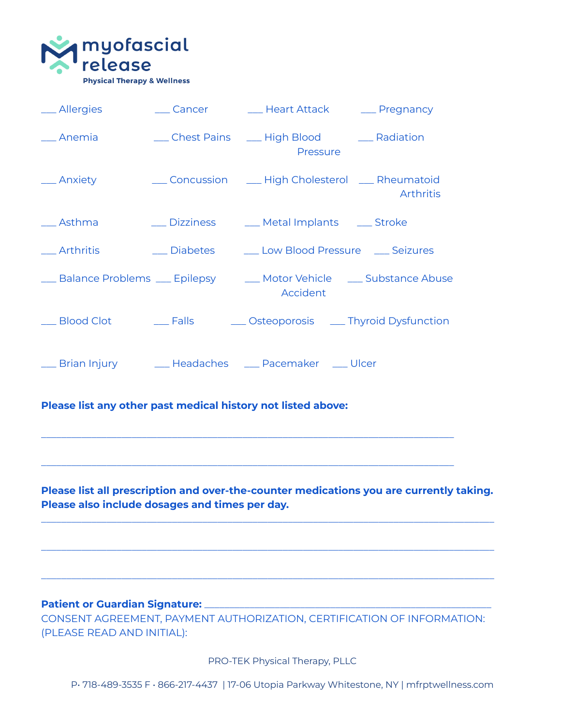

| __ Allergies    |              | __ Cancer ________ Heart Attack _______ Pregnancy                                                              |                  |
|-----------------|--------------|----------------------------------------------------------------------------------------------------------------|------------------|
| __ Anemia       |              | __ Chest Pains ___ High Blood _____ Radiation<br>Pressure                                                      |                  |
| __ Anxiety      |              | __ Concussion _____ High Cholesterol ____ Rheumatoid                                                           | <b>Arthritis</b> |
| __ Asthma       | __ Dizziness | __ Metal Implants __ Stroke                                                                                    |                  |
| $\_\$ Arthritis | __ Diabetes  | Low Blood Pressure _ Seizures                                                                                  |                  |
|                 |              | <u>___</u> Balance Problems ____ Epilepsy _____ Motor Vehicle ____ Substance Abuse<br>Accident                 |                  |
| _ Blood Clot    |              | Lacken Conteoporosis Communication Contest Contest Contest Contest Contest Contest Contest Contest Contest Con |                  |
|                 |              | <u>Same Brian Injury Communiculated</u> Headaches Communication Pacemaker Contract Ulcer                       |                  |

# **Please list any other past medical history not listed above:**

**Please list all prescription and over-the-counter medications you are currently taking. Please also include dosages and times per day.**

\_\_\_\_\_\_\_\_\_\_\_\_\_\_\_\_\_\_\_\_\_\_\_\_\_\_\_\_\_\_\_\_\_\_\_\_\_\_\_\_\_\_\_\_\_\_\_\_\_\_\_\_\_\_\_\_\_\_\_\_\_\_\_\_\_\_\_\_\_\_\_\_\_\_\_\_\_\_\_\_\_\_\_\_\_\_\_\_\_\_

\_\_\_\_\_\_\_\_\_\_\_\_\_\_\_\_\_\_\_\_\_\_\_\_\_\_\_\_\_\_\_\_\_\_\_\_\_\_\_\_\_\_\_\_\_\_\_\_\_\_\_\_\_\_\_\_\_\_\_\_\_\_\_\_\_\_\_\_\_\_\_\_\_\_\_\_\_\_\_\_\_\_\_\_\_\_\_\_\_\_

\_\_\_\_\_\_\_\_\_\_\_\_\_\_\_\_\_\_\_\_\_\_\_\_\_\_\_\_\_\_\_\_\_\_\_\_\_\_\_\_\_\_\_\_\_\_\_\_\_\_\_\_\_\_\_\_\_\_\_\_\_\_\_\_\_\_\_\_\_\_\_\_\_\_\_\_\_\_\_\_\_\_\_\_\_\_\_\_\_\_

\_\_\_\_\_\_\_\_\_\_\_\_\_\_\_\_\_\_\_\_\_\_\_\_\_\_\_\_\_\_\_\_\_\_\_\_\_\_\_\_\_\_\_\_\_\_\_\_\_\_\_\_\_\_\_\_\_\_\_\_\_\_\_\_\_\_\_\_\_\_\_\_\_\_\_\_\_\_\_\_\_\_

\_\_\_\_\_\_\_\_\_\_\_\_\_\_\_\_\_\_\_\_\_\_\_\_\_\_\_\_\_\_\_\_\_\_\_\_\_\_\_\_\_\_\_\_\_\_\_\_\_\_\_\_\_\_\_\_\_\_\_\_\_\_\_\_\_\_\_\_\_\_\_\_\_\_\_\_\_\_\_\_\_\_

# **Patient or Guardian Signature:** \_\_\_\_\_\_\_\_\_\_\_\_\_\_\_\_\_\_\_\_\_\_\_\_\_\_\_\_\_\_\_\_\_\_\_\_\_\_\_\_\_\_\_\_\_\_\_\_\_\_\_\_\_\_\_\_\_

CONSENT AGREEMENT, PAYMENT AUTHORIZATION, CERTIFICATION OF INFORMATION: (PLEASE READ AND INITIAL):

PRO-TEK Physical Therapy, PLLC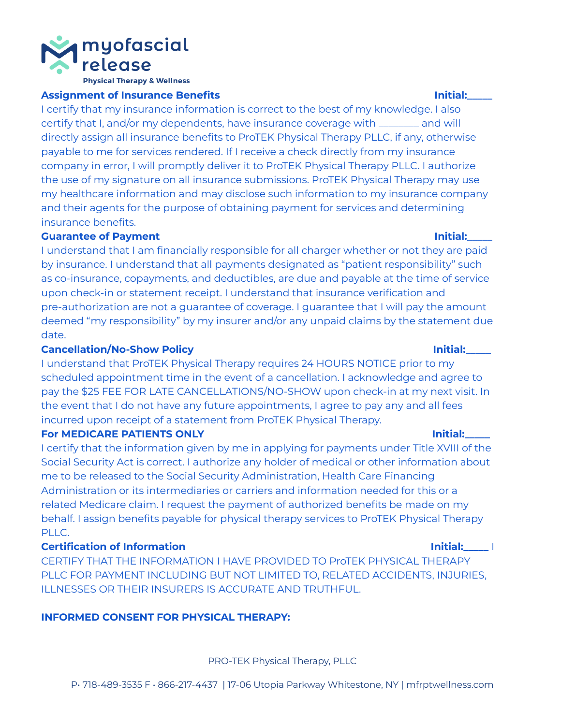

### **Assignment of Insurance Benefits Initial:\_\_\_\_\_**

I certify that my insurance information is correct to the best of my knowledge. I also certify that I, and/or my dependents, have insurance coverage with \_\_\_\_\_\_\_\_ and will directly assign all insurance benefits to ProTEK Physical Therapy PLLC, if any, otherwise payable to me for services rendered. If I receive a check directly from my insurance company in error, I will promptly deliver it to ProTEK Physical Therapy PLLC. I authorize the use of my signature on all insurance submissions. ProTEK Physical Therapy may use my healthcare information and may disclose such information to my insurance company and their agents for the purpose of obtaining payment for services and determining insurance benefits.

## **Guarantee of Payment Initial:\_\_\_\_\_**

I understand that I am financially responsible for all charger whether or not they are paid by insurance. I understand that all payments designated as "patient responsibility" such as co-insurance, copayments, and deductibles, are due and payable at the time of service upon check-in or statement receipt. I understand that insurance verification and pre-authorization are not a guarantee of coverage. I guarantee that I will pay the amount deemed "my responsibility" by my insurer and/or any unpaid claims by the statement due date.

# **Cancellation/No-Show Policy Initial:\_\_\_\_\_**

I understand that ProTEK Physical Therapy requires 24 HOURS NOTICE prior to my scheduled appointment time in the event of a cancellation. I acknowledge and agree to pay the \$25 FEE FOR LATE CANCELLATIONS/NO-SHOW upon check-in at my next visit. In the event that I do not have any future appointments, I agree to pay any and all fees incurred upon receipt of a statement from ProTEK Physical Therapy.

## **For MEDICARE PATIENTS ONLY Initial:\_\_\_\_\_**

I certify that the information given by me in applying for payments under Title XVIII of the Social Security Act is correct. I authorize any holder of medical or other information about me to be released to the Social Security Administration, Health Care Financing Administration or its intermediaries or carriers and information needed for this or a related Medicare claim. I request the payment of authorized benefits be made on my behalf. I assign benefits payable for physical therapy services to ProTEK Physical Therapy PLLC.

# **Certification of Information Initial:\_\_\_\_\_** I

CERTIFY THAT THE INFORMATION I HAVE PROVIDED TO ProTEK PHYSICAL THERAPY PLLC FOR PAYMENT INCLUDING BUT NOT LIMITED TO, RELATED ACCIDENTS, INJURIES, ILLNESSES OR THEIR INSURERS IS ACCURATE AND TRUTHFUL.

# **INFORMED CONSENT FOR PHYSICAL THERAPY:**

PRO-TEK Physical Therapy, PLLC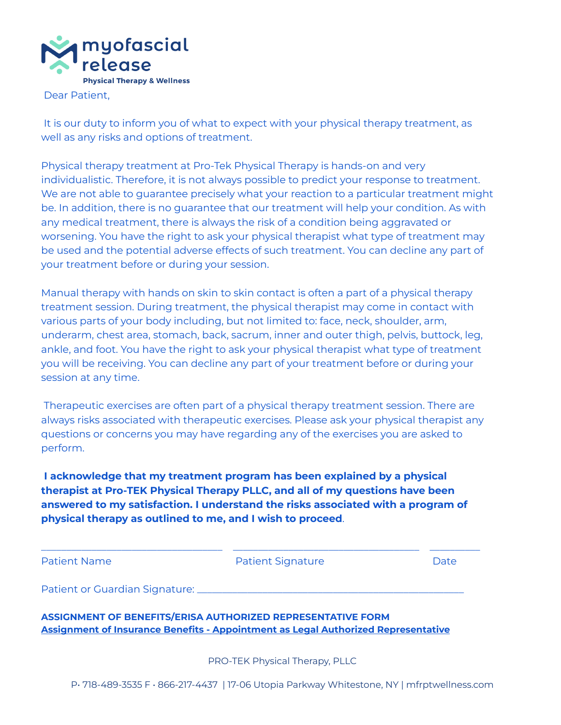

Dear Patient,

It is our duty to inform you of what to expect with your physical therapy treatment, as well as any risks and options of treatment.

Physical therapy treatment at Pro-Tek Physical Therapy is hands-on and very individualistic. Therefore, it is not always possible to predict your response to treatment. We are not able to guarantee precisely what your reaction to a particular treatment might be. In addition, there is no guarantee that our treatment will help your condition. As with any medical treatment, there is always the risk of a condition being aggravated or worsening. You have the right to ask your physical therapist what type of treatment may be used and the potential adverse effects of such treatment. You can decline any part of your treatment before or during your session.

Manual therapy with hands on skin to skin contact is often a part of a physical therapy treatment session. During treatment, the physical therapist may come in contact with various parts of your body including, but not limited to: face, neck, shoulder, arm, underarm, chest area, stomach, back, sacrum, inner and outer thigh, pelvis, buttock, leg, ankle, and foot. You have the right to ask your physical therapist what type of treatment you will be receiving. You can decline any part of your treatment before or during your session at any time.

Therapeutic exercises are often part of a physical therapy treatment session. There are always risks associated with therapeutic exercises. Please ask your physical therapist any questions or concerns you may have regarding any of the exercises you are asked to perform.

**I acknowledge that my treatment program has been explained by a physical therapist at Pro-TEK Physical Therapy PLLC, and all of my questions have been answered to my satisfaction. I understand the risks associated with a program of physical therapy as outlined to me, and I wish to proceed**.

| <b>Patient Name</b>            | <b>Patient Signature</b> | Date |
|--------------------------------|--------------------------|------|
| Patient or Guardian Signature: |                          |      |

**ASSIGNMENT OF BENEFITS/ERISA AUTHORIZED REPRESENTATIVE FORM Assignment of Insurance Benefits - Appointment as Legal Authorized Representative**

PRO-TEK Physical Therapy, PLLC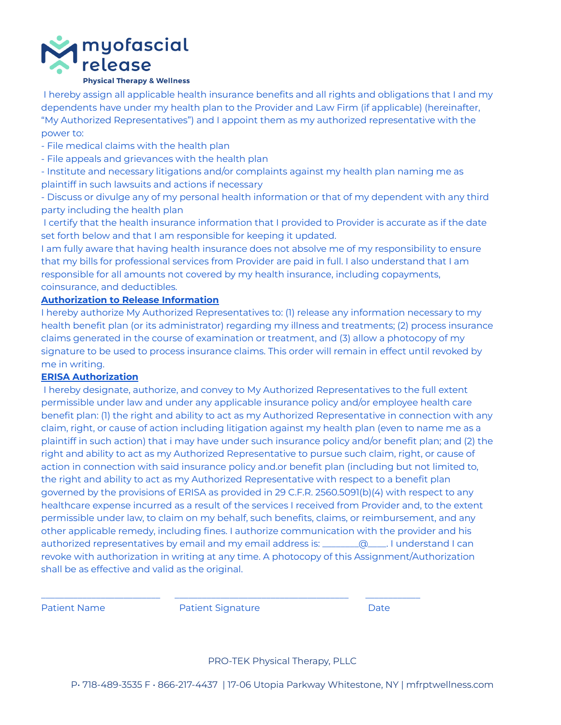

I hereby assign all applicable health insurance benefits and all rights and obligations that I and my dependents have under my health plan to the Provider and Law Firm (if applicable) (hereinafter, "My Authorized Representatives") and I appoint them as my authorized representative with the power to:

- File medical claims with the health plan

- File appeals and grievances with the health plan

- Institute and necessary litigations and/or complaints against my health plan naming me as plaintiff in such lawsuits and actions if necessary

- Discuss or divulge any of my personal health information or that of my dependent with any third party including the health plan

I certify that the health insurance information that I provided to Provider is accurate as if the date set forth below and that I am responsible for keeping it updated.

I am fully aware that having health insurance does not absolve me of my responsibility to ensure that my bills for professional services from Provider are paid in full. I also understand that I am responsible for all amounts not covered by my health insurance, including copayments, coinsurance, and deductibles.

#### **Authorization to Release Information**

I hereby authorize My Authorized Representatives to: (1) release any information necessary to my health benefit plan (or its administrator) regarding my illness and treatments; (2) process insurance claims generated in the course of examination or treatment, and (3) allow a photocopy of my signature to be used to process insurance claims. This order will remain in effect until revoked by me in writing.

### **ERISA Authorization**

I hereby designate, authorize, and convey to My Authorized Representatives to the full extent permissible under law and under any applicable insurance policy and/or employee health care benefit plan: (1) the right and ability to act as my Authorized Representative in connection with any claim, right, or cause of action including litigation against my health plan (even to name me as a plaintiff in such action) that i may have under such insurance policy and/or benefit plan; and (2) the right and ability to act as my Authorized Representative to pursue such claim, right, or cause of action in connection with said insurance policy and.or benefit plan (including but not limited to, the right and ability to act as my Authorized Representative with respect to a benefit plan governed by the provisions of ERISA as provided in 29 C.F.R. 2560.5091(b)(4) with respect to any healthcare expense incurred as a result of the services I received from Provider and, to the extent permissible under law, to claim on my behalf, such benefits, claims, or reimbursement, and any other applicable remedy, including fines. I authorize communication with the provider and his authorized representatives by email and my email address is: \_\_\_\_\_\_\_\_\_\_@\_\_\_\_. I understand I can revoke with authorization in writing at any time. A photocopy of this Assignment/Authorization shall be as effective and valid as the original.

Patient Name **Patient Signature Patient Signature Patient Signature Patient Signature** 

\_\_\_\_\_\_\_\_\_\_\_\_\_\_\_\_\_\_\_\_\_\_\_\_\_\_ \_\_\_\_\_\_\_\_\_\_\_\_\_\_\_\_\_\_\_\_\_\_\_\_\_\_\_\_\_\_\_\_\_\_\_\_\_\_ \_\_\_\_\_\_\_\_\_\_\_\_

### PRO-TEK Physical Therapy, PLLC